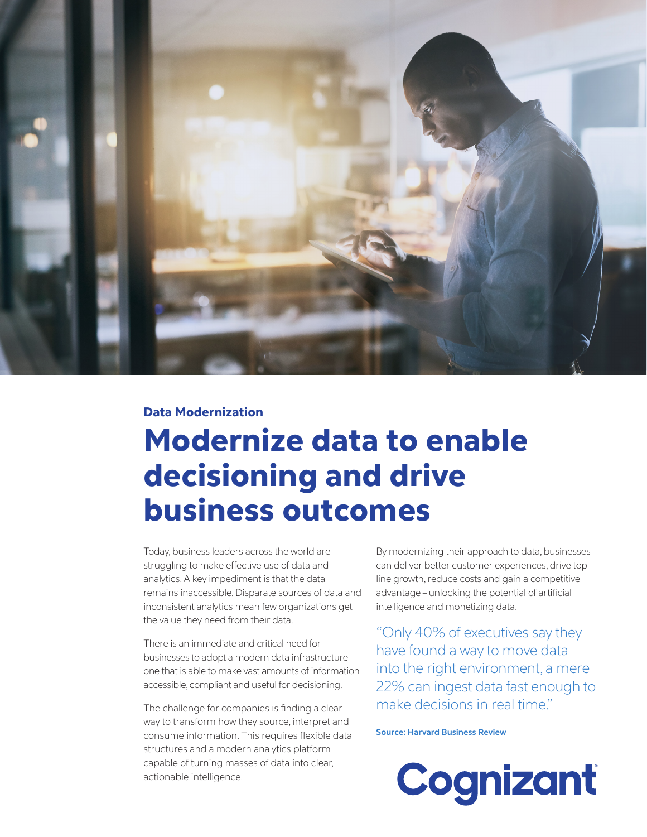

### Data Modernization

# Modernize data to enable decisioning and drive business outcomes

Today, business leaders across the world are struggling to make effective use of data and analytics. A key impediment is that the data remains inaccessible. Disparate sources of data and inconsistent analytics mean few organizations get the value they need from their data.

There is an immediate and critical need for businesses to adopt a modern data infrastructure – one that is able to make vast amounts of information accessible, compliant and useful for decisioning.

The challenge for companies is finding a clear way to transform how they source, interpret and consume information. This requires flexible data structures and a modern analytics platform capable of turning masses of data into clear, actionable intelligence.

By modernizing their approach to data, businesses can deliver better customer experiences, drive topline growth, reduce costs and gain a competitive advantage – unlocking the potential of artificial intelligence and monetizing data.

"Only 40% of executives say they have found a way to move data into the right environment, a mere 22% can ingest data fast enough to make decisions in real time."

**Source: Harvard Business Review**

Cognizant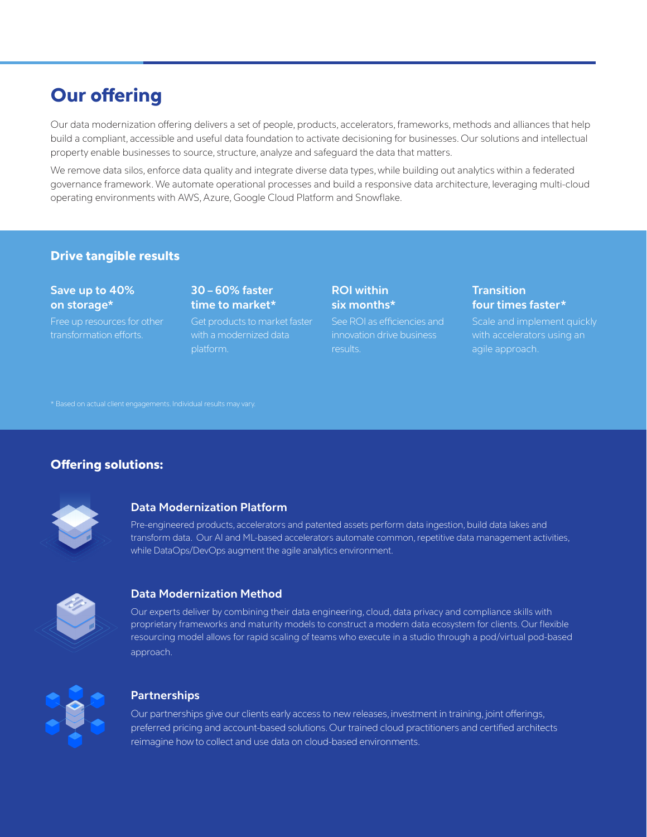# Our offering

Our data modernization offering delivers a set of people, products, accelerators, frameworks, methods and alliances that help build a compliant, accessible and useful data foundation to activate decisioning for businesses. Our solutions and intellectual property enable businesses to source, structure, analyze and safeguard the data that matters.

We remove data silos, enforce data quality and integrate diverse data types, while building out analytics within a federated governance framework. We automate operational processes and build a responsive data architecture, leveraging multi-cloud operating environments with AWS, Azure, Google Cloud Platform and Snowflake.

# Drive tangible results

### **Save up to 40% on storage\***

Free up resources for other transformation efforts.

## **30 – 60% faster time to market\***

Get products to market faster with a modernized data platform.

# **ROI within six months\***

See ROI as efficiencies and innovation drive business results.

# **Transition four times faster\***

Scale and implement quickly agile approach.

\* Based on actual client engagements. Individual results may vary.

# Offering solutions:



### **Data Modernization Platform**

Pre-engineered products, accelerators and patented assets perform data ingestion, build data lakes and transform data. Our AI and ML-based accelerators automate common, repetitive data management activities, while DataOps/DevOps augment the agile analytics environment.



### **Data Modernization Method**

Our experts deliver by combining their data engineering, cloud, data privacy and compliance skills with proprietary frameworks and maturity models to construct a modern data ecosystem for clients. Our flexible resourcing model allows for rapid scaling of teams who execute in a studio through a pod/virtual pod-based approach.



### **Partnerships**

Our partnerships give our clients early access to new releases, investment in training, joint offerings, preferred pricing and account-based solutions. Our trained cloud practitioners and certified architects reimagine how to collect and use data on cloud-based environments.